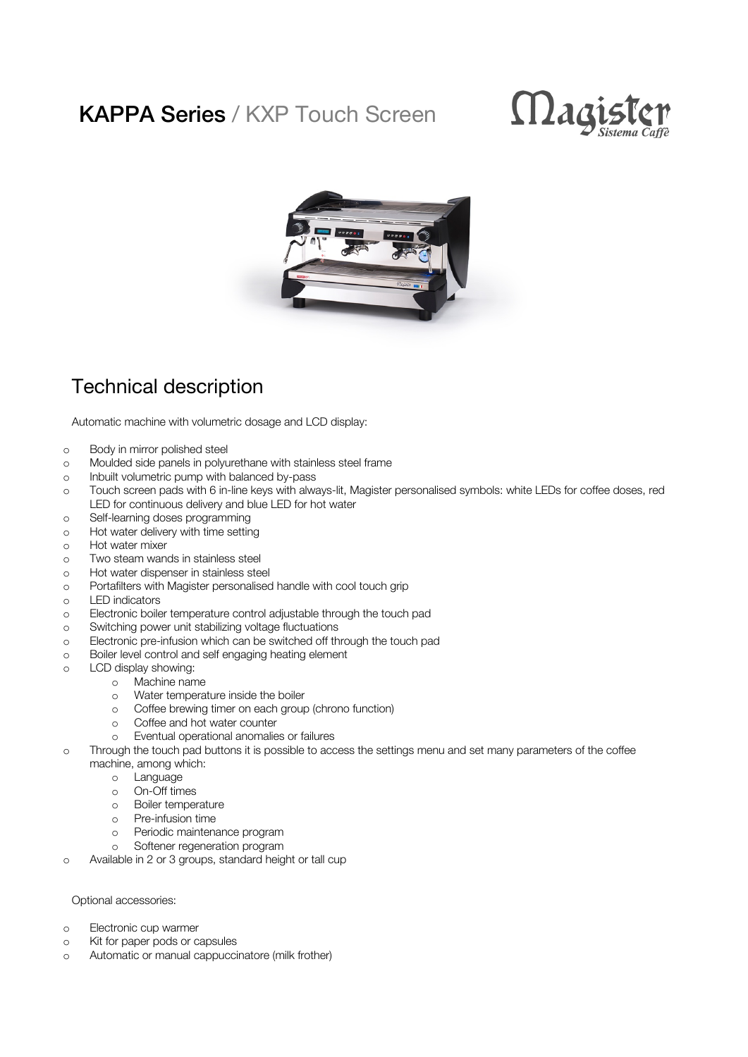## KAPPA Series / KXP Touch Screen





## Technical description

Automatic machine with volumetric dosage and LCD display:

- o Body in mirror polished steel
- o Moulded side panels in polyurethane with stainless steel frame
- o Inbuilt volumetric pump with balanced by-pass
- o Touch screen pads with 6 in-line keys with always-lit, Magister personalised symbols: white LEDs for coffee doses, red LED for continuous delivery and blue LED for hot water
- o Self-learning doses programming
- o Hot water delivery with time setting
- o Hot water mixer
- o Two steam wands in stainless steel
- o Hot water dispenser in stainless steel
- o Portafilters with Magister personalised handle with cool touch grip
- o LED indicators
- o Electronic boiler temperature control adjustable through the touch pad
- o Switching power unit stabilizing voltage fluctuations
- o Electronic pre-infusion which can be switched off through the touch pad
- o Boiler level control and self engaging heating element
- o LCD display showing:
	- o Machine name
	- o Water temperature inside the boiler
	- o Coffee brewing timer on each group (chrono function)
	- o Coffee and hot water counter
	- o Eventual operational anomalies or failures
- o Through the touch pad buttons it is possible to access the settings menu and set many parameters of the coffee machine, among which:
	- o Language
	- o On-Off times
	- o Boiler temperature
	- o Pre-infusion time
	- o Periodic maintenance program
	- o Softener regeneration program
- o Available in 2 or 3 groups, standard height or tall cup

## Optional accessories:

- o Electronic cup warmer
- o Kit for paper pods or capsules
- o Automatic or manual cappuccinatore (milk frother)